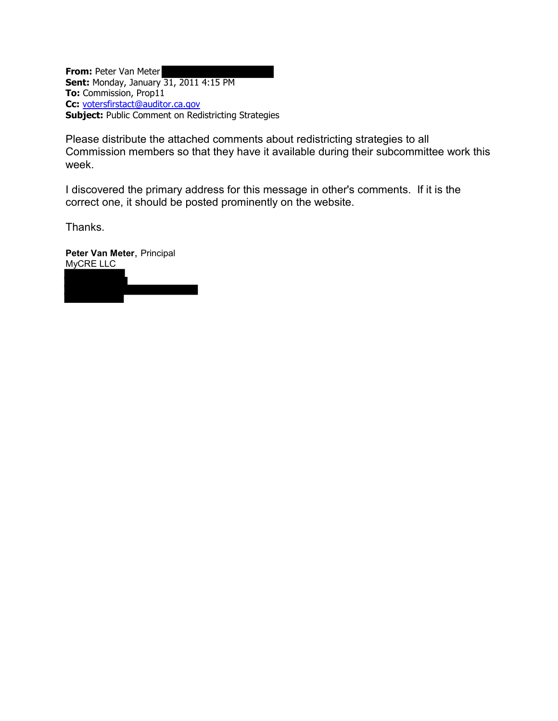**From:** Peter Van Meter **Sent:** Monday, January 31, 2011 4:15 PM **To:** Commission, Prop11 **Cc:** [votersfirstact@auditor.ca.gov](mailto:votersfirstact@auditor.ca.gov) **Subject:** Public Comment on Redistricting Strategies

Please distribute the attached comments about redistricting strategies to all Commission members so that they have it available during their subcommittee work this week.

I discovered the primary address for this message in other's comments. If it is the correct one, it should be posted prominently on the website.

Thanks.

**Peter Van Meter**, Principal MyCRE LLC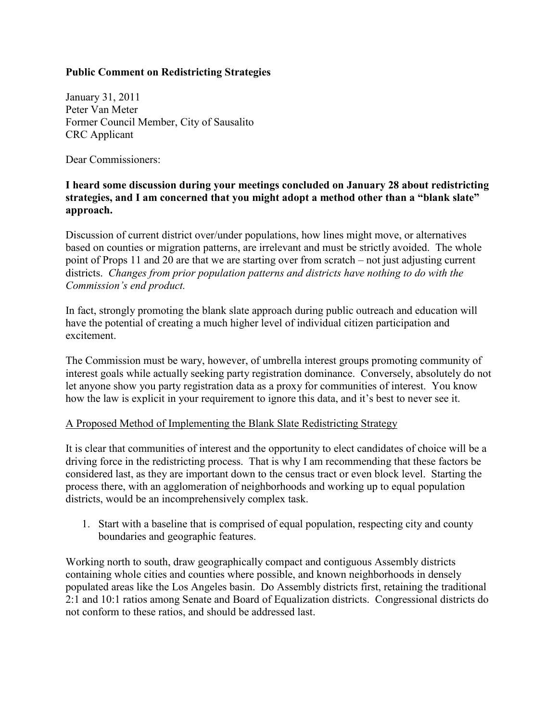## **Public Comment on Redistricting Strategies**

January 31, 2011 Peter Van Meter Former Council Member, City of Sausalito CRC Applicant

Dear Commissioners:

## **I heard some discussion during your meetings concluded on January 28 about redistricting strategies, and I am concerned that you might adopt a method other than a "blank slate" approach.**

Discussion of current district over/under populations, how lines might move, or alternatives based on counties or migration patterns, are irrelevant and must be strictly avoided. The whole point of Props 11 and 20 are that we are starting over from scratch – not just adjusting current districts. *Changes from prior population patterns and districts have nothing to do with the Commission's end product.*

In fact, strongly promoting the blank slate approach during public outreach and education will have the potential of creating a much higher level of individual citizen participation and excitement.

The Commission must be wary, however, of umbrella interest groups promoting community of interest goals while actually seeking party registration dominance. Conversely, absolutely do not let anyone show you party registration data as a proxy for communities of interest. You know how the law is explicit in your requirement to ignore this data, and it's best to never see it.

## A Proposed Method of Implementing the Blank Slate Redistricting Strategy

It is clear that communities of interest and the opportunity to elect candidates of choice will be a driving force in the redistricting process. That is why I am recommending that these factors be considered last, as they are important down to the census tract or even block level. Starting the process there, with an agglomeration of neighborhoods and working up to equal population districts, would be an incomprehensively complex task.

1. Start with a baseline that is comprised of equal population, respecting city and county boundaries and geographic features.

Working north to south, draw geographically compact and contiguous Assembly districts containing whole cities and counties where possible, and known neighborhoods in densely populated areas like the Los Angeles basin. Do Assembly districts first, retaining the traditional 2:1 and 10:1 ratios among Senate and Board of Equalization districts. Congressional districts do not conform to these ratios, and should be addressed last.